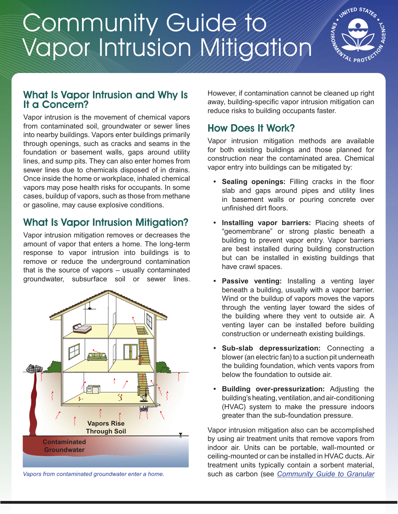# Community Guide to Vapor Intrusion Mitigation



#### What Is Vapor Intrusion and Why Is It a Concern?

Vapor intrusion is the movement of chemical vapors from contaminated soil, groundwater or sewer lines into nearby buildings. Vapors enter buildings primarily through openings, such as cracks and seams in the foundation or basement walls, gaps around utility lines, and sump pits. They can also enter homes from sewer lines due to chemicals disposed of in drains. Once inside the home or workplace, inhaled chemical vapors may pose health risks for occupants. In some cases, buildup of vapors, such as those from methane or gasoline, may cause explosive conditions.

# What Is Vapor Intrusion Mitigation?

Vapor intrusion mitigation removes or decreases the amount of vapor that enters a home. The long-term response to vapor intrusion into buildings is to remove or reduce the underground contamination that is the source of vapors – usually contaminated groundwater, subsurface soil or sewer lines.



*Vapors from contaminated groundwater enter a home.*

However, if contamination cannot be cleaned up right away, building-specific vapor intrusion mitigation can reduce risks to building occupants faster.

### How Does It Work?

Vapor intrusion mitigation methods are available for both existing buildings and those planned for construction near the contaminated area. Chemical vapor entry into buildings can be mitigated by:

- **• Sealing openings:** Filling cracks in the floor slab and gaps around pipes and utility lines in basement walls or pouring concrete over unfinished dirt floors.
- **• Installing vapor barriers:** Placing sheets of "geomembrane" or strong plastic beneath a building to prevent vapor entry. Vapor barriers are best installed during building construction but can be installed in existing buildings that have crawl spaces.
- **• Passive venting:** Installing a venting layer beneath a building, usually with a vapor barrier. Wind or the buildup of vapors moves the vapors through the venting layer toward the sides of the building where they vent to outside air. A venting layer can be installed before building construction or underneath existing buildings.
- **• Sub-slab depressurization:** Connecting a blower (an electric fan) to a suction pit underneath the building foundation, which vents vapors from below the foundation to outside air.
- **• Building over-pressurization:** Adjusting the building's heating, ventilation, and air-conditioning (HVAC) system to make the pressure indoors greater than the sub-foundation pressure.

Vapor intrusion mitigation also can be accomplished by using air treatment units that remove vapors from indoor air. Units can be portable, wall-mounted or ceiling-mounted or can be installed in HVAC ducts. Air treatment units typically contain a sorbent material, such as carbon (see *[Community Guide to Granular](https://clu-in.org/cguides)*